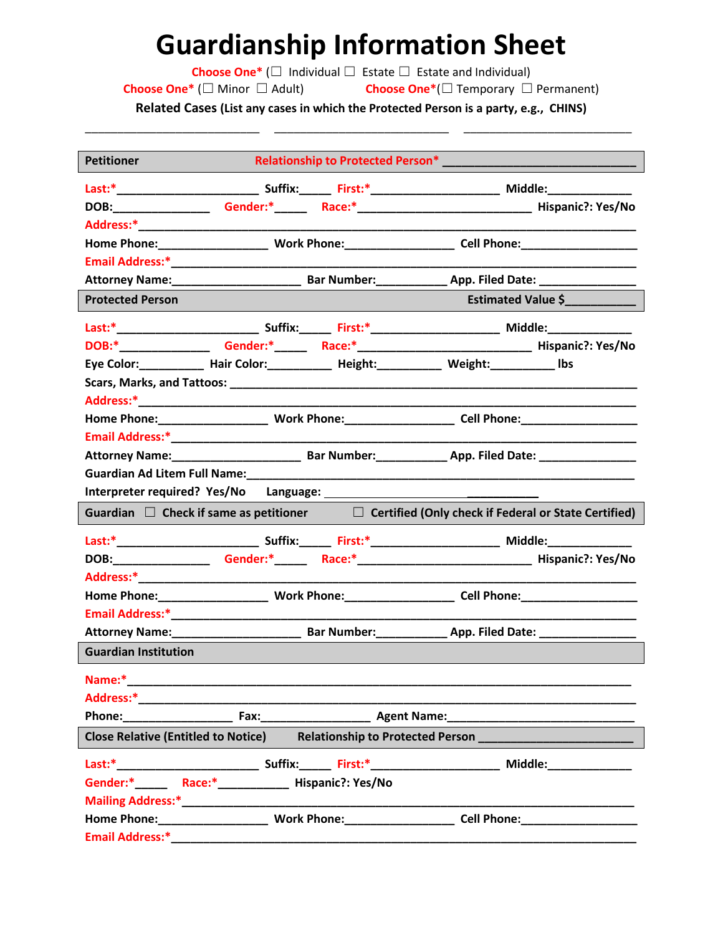## **Guardianship Information Sheet**

**Choose One\*** (☐ Individual ☐ Estate ☐ Estate and Individual)

**Choose One\*** (☐ Minor ☐ Adult) **Choose One\***(☐ Temporary ☐ Permanent)

**Related Cases (List any cases in which the Protected Person is a party, e.g., CHINS)** \_\_\_\_\_\_\_\_\_\_\_\_\_\_\_\_\_\_\_\_\_\_\_\_\_\_\_ \_\_\_\_\_\_\_\_\_\_\_\_\_\_\_\_\_\_\_\_\_\_\_\_\_\_\_ \_\_\_\_\_\_\_\_\_\_\_\_\_\_\_\_\_\_\_\_\_\_\_\_\_\_

| <b>Petitioner</b>                                                                                                                                                                                                                   |  |  |                                                                                                   |  |
|-------------------------------------------------------------------------------------------------------------------------------------------------------------------------------------------------------------------------------------|--|--|---------------------------------------------------------------------------------------------------|--|
|                                                                                                                                                                                                                                     |  |  |                                                                                                   |  |
| DOB:_______________                                                                                                                                                                                                                 |  |  |                                                                                                   |  |
|                                                                                                                                                                                                                                     |  |  |                                                                                                   |  |
|                                                                                                                                                                                                                                     |  |  |                                                                                                   |  |
|                                                                                                                                                                                                                                     |  |  |                                                                                                   |  |
|                                                                                                                                                                                                                                     |  |  | Attorney Name: Sar Number: App. Filed Date:                                                       |  |
| <b>Protected Person</b>                                                                                                                                                                                                             |  |  | Estimated Value \$                                                                                |  |
|                                                                                                                                                                                                                                     |  |  |                                                                                                   |  |
|                                                                                                                                                                                                                                     |  |  | DOB:*___________________Gender:*________Race:*__________________________________Hispanic?: Yes/No |  |
|                                                                                                                                                                                                                                     |  |  | Eye Color: __________ Hair Color: __________ Height: _________ Weight: _________ Ibs              |  |
|                                                                                                                                                                                                                                     |  |  |                                                                                                   |  |
|                                                                                                                                                                                                                                     |  |  |                                                                                                   |  |
|                                                                                                                                                                                                                                     |  |  |                                                                                                   |  |
|                                                                                                                                                                                                                                     |  |  |                                                                                                   |  |
|                                                                                                                                                                                                                                     |  |  | Attorney Name: Mannell Bar Number: App. Filed Date: Mannell Date:                                 |  |
| Guardian Ad Litem Full Name:                                                                                                                                                                                                        |  |  |                                                                                                   |  |
|                                                                                                                                                                                                                                     |  |  |                                                                                                   |  |
| Guardian $\Box$ Check if same as petitioner $\Box$ Certified (Only check if Federal or State Certified)                                                                                                                             |  |  |                                                                                                   |  |
|                                                                                                                                                                                                                                     |  |  |                                                                                                   |  |
|                                                                                                                                                                                                                                     |  |  | DOB: Gender:* Race:* Race:* Race: No Hispanic?: Yes/No                                            |  |
|                                                                                                                                                                                                                                     |  |  |                                                                                                   |  |
|                                                                                                                                                                                                                                     |  |  |                                                                                                   |  |
|                                                                                                                                                                                                                                     |  |  |                                                                                                   |  |
|                                                                                                                                                                                                                                     |  |  |                                                                                                   |  |
| <b>Guardian Institution</b>                                                                                                                                                                                                         |  |  |                                                                                                   |  |
| Name:*                                                                                                                                                                                                                              |  |  |                                                                                                   |  |
|                                                                                                                                                                                                                                     |  |  |                                                                                                   |  |
| <b>Phone:</b> Phone and Phone and Phone and Phone and Phone and Phone and Phone and Phone and Phone and Phone and Phone and Phone and Phone and Phone and Phone and Phone and Phone and Phone and Phone and Phone and Phone and Pho |  |  |                                                                                                   |  |
| <b>Close Relative (Entitled to Notice)</b>                                                                                                                                                                                          |  |  |                                                                                                   |  |
|                                                                                                                                                                                                                                     |  |  |                                                                                                   |  |
|                                                                                                                                                                                                                                     |  |  |                                                                                                   |  |
|                                                                                                                                                                                                                                     |  |  |                                                                                                   |  |
|                                                                                                                                                                                                                                     |  |  |                                                                                                   |  |
| <b>Email Address:*</b>                                                                                                                                                                                                              |  |  |                                                                                                   |  |